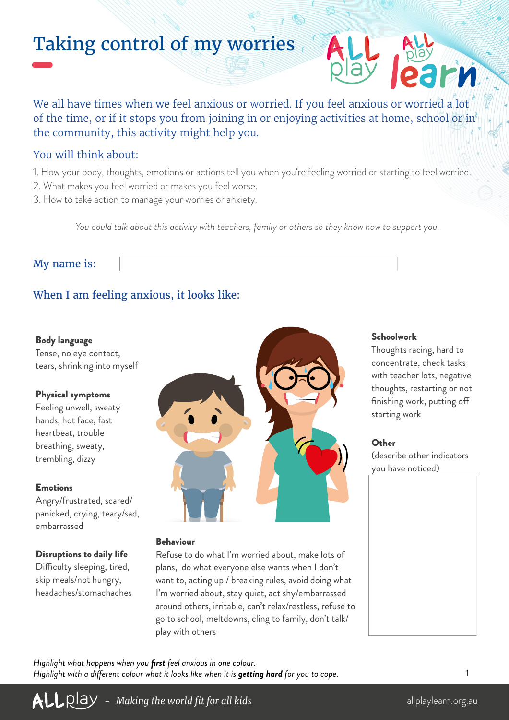# Taking control of my worries

We all have times when we feel anxious or worried. If you feel anxious or worried a lot of the time, or if it stops you from joining in or enjoying activities at home, school or in the community, this activity might help you.

### You will think about:

- 1. How your body, thoughts, emotions or actions tell you when you're feeling worried or starting to feel worried.
- 2. What makes you feel worried or makes you feel worse.
- 3. How to take action to manage your worries or anxiety.

*You could talk about this activity with teachers, family or others so they know how to support you.*

### My name is:

# When I am feeling anxious, it looks like:

#### Body language

Tense, no eye contact, tears, shrinking into myself

#### Physical symptoms

Feeling unwell, sweaty hands, hot face, fast heartbeat, trouble breathing, sweaty, trembling, dizzy

#### Emotions

Angry/frustrated, scared/ panicked, crying, teary/sad, embarrassed

#### Disruptions to daily life

Difficulty sleeping, tired, skip meals/not hungry, headaches/stomachaches



#### Behaviour

Refuse to do what I'm worried about, make lots of plans, do what everyone else wants when I don't want to, acting up / breaking rules, avoid doing what I'm worried about, stay quiet, act shy/embarrassed around others, irritable, can't relax/restless, refuse to go to school, meltdowns, cling to family, don't talk/ play with others

#### Schoolwork

Thoughts racing, hard to concentrate, check tasks with teacher lots, negative thoughts, restarting or not finishing work, putting off starting work

#### Other

(describe other indicators you have noticed)

*Highlight what happens when you first feel anxious in one colour. Highlight with a different colour what it looks like when it is getting hard for you to cope.*